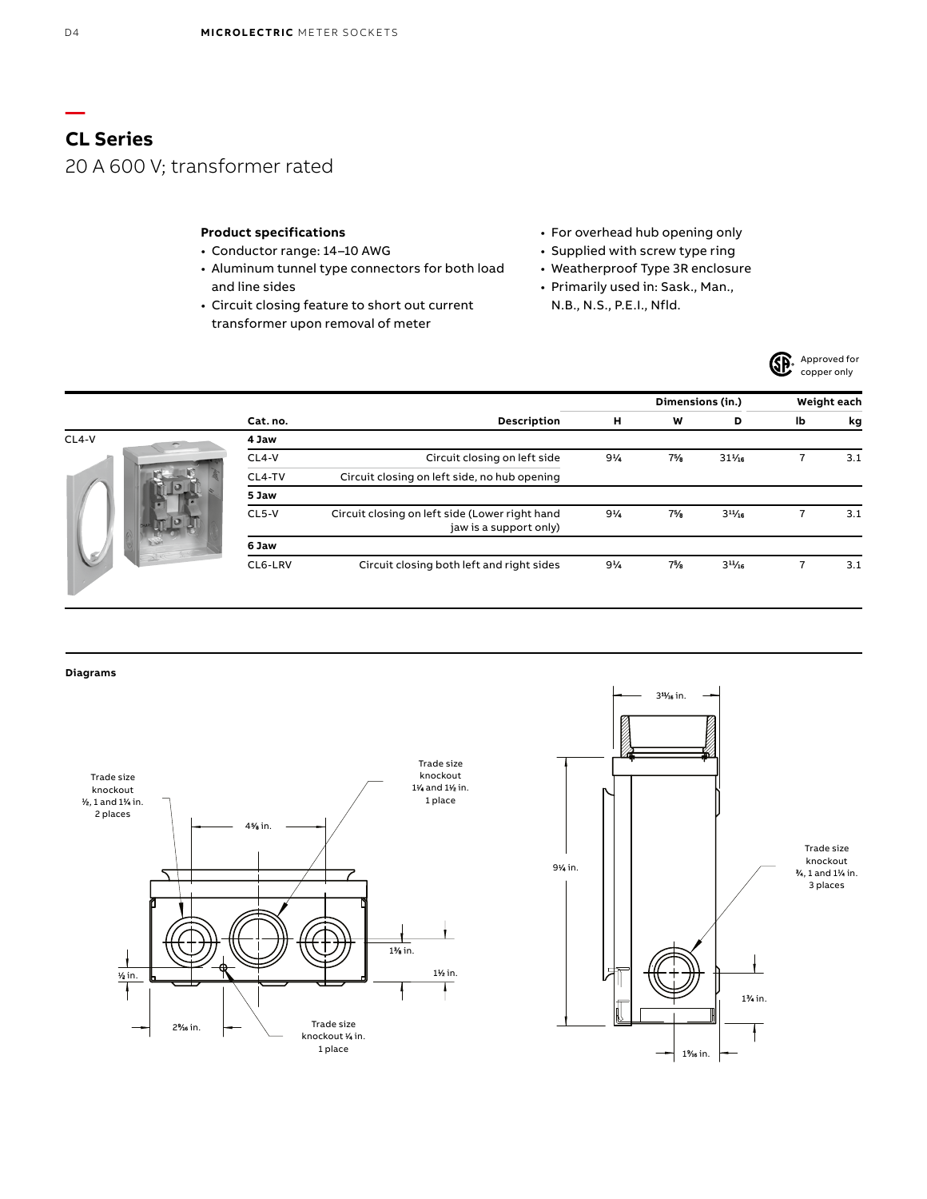## **Product specifications**

- Conductor range: 14–10 AWG
- Aluminum tunnel type connectors for both load and line sides
- Circuit closing feature to short out current transformer upon removal of meter
- For overhead hub opening only
- Supplied with screw type ring
- Weatherproof Type 3R enclosure
- Primarily used in: Sask., Man.,
	- N.B., N.S., P.E.I., Nfld.



|               |          |                                                                          |                | Dimensions (in.) |             | Weight each |     |
|---------------|----------|--------------------------------------------------------------------------|----------------|------------------|-------------|-------------|-----|
|               | Cat. no. | Description                                                              | н              | W                | D           | lb          | kg  |
| $CL4-V$       | 4 Jaw    |                                                                          |                |                  |             |             |     |
|               | $CL4-V$  | Circuit closing on left side                                             | $9\%$          | 7%               | $31\%$      |             | 3.1 |
|               | CL4-TV   | Circuit closing on left side, no hub opening                             |                |                  |             |             |     |
|               | 5 Jaw    |                                                                          |                |                  |             |             |     |
|               | $CL5-V$  | Circuit closing on left side (Lower right hand<br>jaw is a support only) | $9\frac{1}{4}$ | $7\frac{5}{6}$   | $3^{11}/16$ |             | 3.1 |
|               | 6 Jaw    |                                                                          |                |                  |             |             |     |
| $\rightarrow$ | CL6-LRV  | Circuit closing both left and right sides                                | $9\%$          | 7%               | $3^{11}/16$ |             | 3.1 |



**—**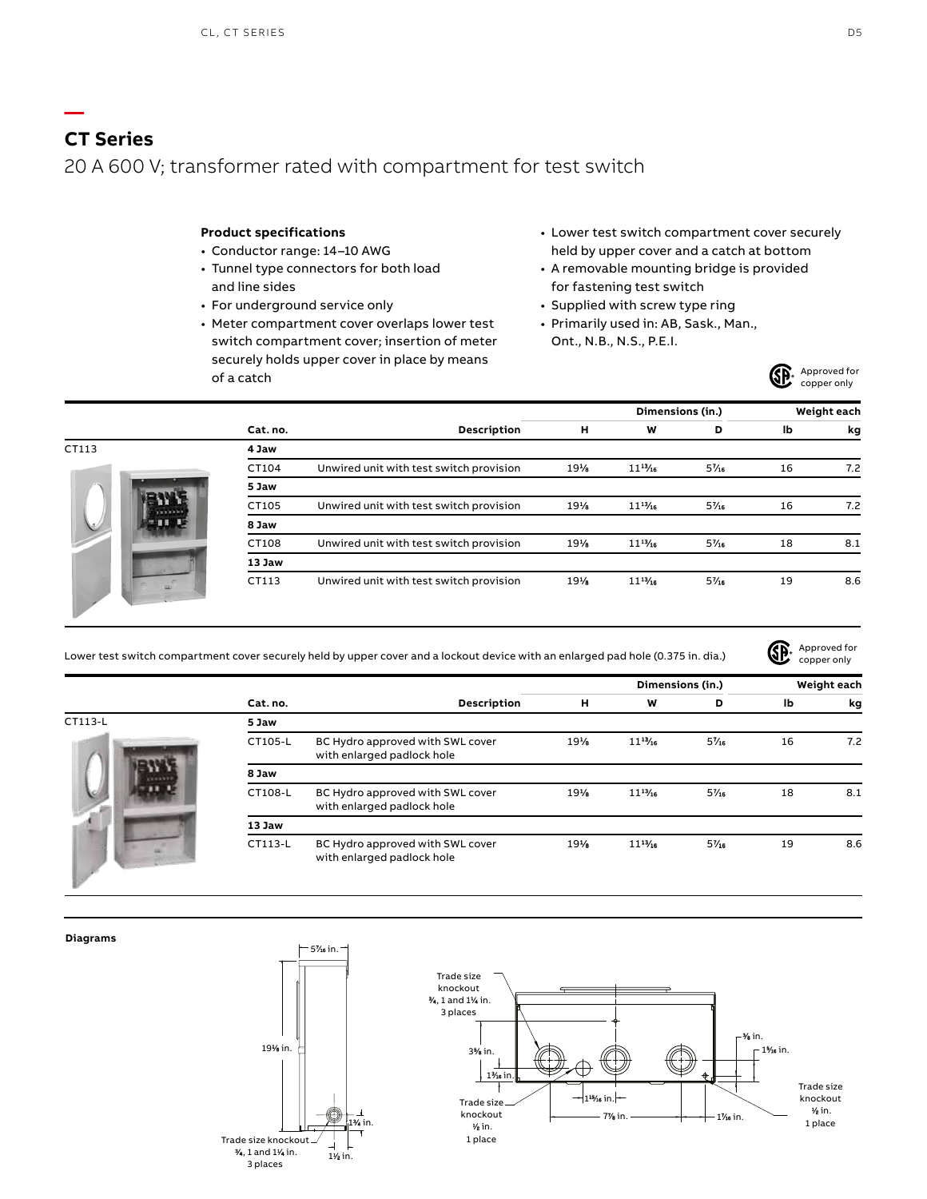# **CT Series** 20 A 600 V; transformer rated with compartment for test switch

## **Product specifications**

- Conductor range: 14–10 AWG
- Tunnel type connectors for both load and line sides
- For underground service only
- Meter compartment cover overlaps lower test switch compartment cover; insertion of meter securely holds upper cover in place by means of a catch
- Lower test switch compartment cover securely held by upper cover and a catch at bottom
- A removable mounting bridge is provided for fastening test switch
- Supplied with screw type ring
- Primarily used in: AB, Sask., Man., Ont., N.B., N.S., P.E.I.



|       |          |                                         |     | Dimensions (in.) |       | Weight each |     |
|-------|----------|-----------------------------------------|-----|------------------|-------|-------------|-----|
|       | Cat. no. | Description                             | н   | W                | D     | lb          | kg  |
| CT113 | 4 Jaw    |                                         |     |                  |       |             |     |
| ιĖ    | CT104    | Unwired unit with test switch provision | 19% | $11^{13}/16$     | $5\%$ | 16          | 7.2 |
|       | 5 Jaw    |                                         |     |                  |       |             |     |
|       | CT105    | Unwired unit with test switch provision | 19% | $11^{17}$        | 5%    | 16          | 7.2 |
|       | 8 Jaw    |                                         |     |                  |       |             |     |
|       | CT108    | Unwired unit with test switch provision | 19% | $11^{13}/16$     | $5\%$ | 18          | 8.1 |
|       | 13 Jaw   |                                         |     |                  |       |             |     |
|       | CT113    | Unwired unit with test switch provision | 19% | $11\frac{11}{2}$ | 5%    | 19          | 8.6 |

Lower test switch compartment cover securely held by upper cover and a lockout device with an enlarged pad hole (0.375 in. dia.)

Approved for (SP. copper only

|         |          |                                                                |     | Dimensions (in.) |       | Weight each |     |
|---------|----------|----------------------------------------------------------------|-----|------------------|-------|-------------|-----|
|         | Cat. no. | Description                                                    | н   | W                | D     | lb          | kg  |
| CT113-L | 5 Jaw    |                                                                |     |                  |       |             |     |
|         | CT105-L  | BC Hydro approved with SWL cover<br>with enlarged padlock hole | 19% | $11^{13}/16$     | $5\%$ | 16          | 7.2 |
|         | 8 Jaw    |                                                                |     |                  |       |             |     |
|         | CT108-L  | BC Hydro approved with SWL cover<br>with enlarged padlock hole | 19% | $11^{13}/16$     | $5\%$ | 18          | 8.1 |
|         | 13 Jaw   |                                                                |     |                  |       |             |     |
|         | CT113-L  | BC Hydro approved with SWL cover<br>with enlarged padlock hole | 19% | $11^{13}/16$     | $5\%$ | 19          | 8.6 |

#### **Diagrams**

**—**